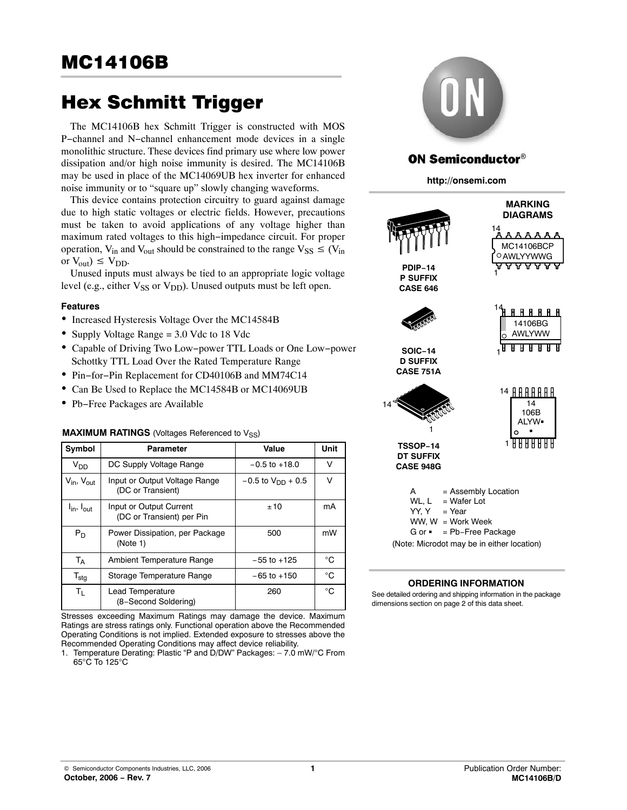The MC14106B hex Schmitt Trigger is constructed with MOS P−channel and N−channel enhancement mode devices in a single monolithic structure. These devices find primary use where low power dissipation and/or high noise immunity is desired. The MC14106B may be used in place of the MC14069UB hex inverter for enhanced noise immunity or to "square up" slowly changing waveforms.

This device contains protection circuitry to guard against damage due to high static voltages or electric fields. However, precautions must be taken to avoid applications of any voltage higher than maximum rated voltages to this high−impedance circuit. For proper operation,  $V_{in}$  and  $V_{out}$  should be constrained to the range  $V_{SS} \leq (V_{in}$ or  $V_{\text{out}}$ )  $\leq V_{\text{DD}}$ .

Unused inputs must always be tied to an appropriate logic voltage level (e.g., either  $V_{SS}$  or  $V_{DD}$ ). Unused outputs must be left open.

## **Features**

- Increased Hysteresis Voltage Over the MC14584B
- Supply Voltage Range = 3.0 Vdc to 18 Vdc
- Capable of Driving Two Low−power TTL Loads or One Low−power Schottky TTL Load Over the Rated Temperature Range
- Pin−for−Pin Replacement for CD40106B and MM74C14
- Can Be Used to Replace the MC14584B or MC14069UB
- Pb−Free Packages are Available

## **MAXIMUM RATINGS** (Voltages Referenced to V<sub>SS</sub>)

| Symbol                             | Parameter                                            | Value                    | Unit        |
|------------------------------------|------------------------------------------------------|--------------------------|-------------|
| $V_{DD}$                           | DC Supply Voltage Range                              | $-0.5$ to $+18.0$        | V           |
| $V_{\text{in}}$ , $V_{\text{out}}$ | Input or Output Voltage Range<br>(DC or Transient)   | $-0.5$ to $V_{DD}$ + 0.5 | V           |
| $I_{\text{in}}$ , $I_{\text{out}}$ | Input or Output Current<br>(DC or Transient) per Pin | ±10                      | mA          |
| $P_D$                              | Power Dissipation, per Package<br>(Note 1)           | 500                      | mW          |
| $T_A$                              | Ambient Temperature Range                            | $-55$ to $+125$          | °C          |
| $\mathsf{T}_{\textsf{stg}}$        | Storage Temperature Range                            | $-65$ to $+150$          | $^{\circ}C$ |
| $T_{L}$                            | Lead Temperature<br>(8-Second Soldering)             | 260                      | $^{\circ}C$ |

Stresses exceeding Maximum Ratings may damage the device. Maximum Ratings are stress ratings only. Functional operation above the Recommended Operating Conditions is not implied. Extended exposure to stresses above the Recommended Operating Conditions may affect device reliability.



# **ON Semiconductor®**

**http://onsemi.com**



## **ORDERING INFORMATION**

See detailed ordering and shipping information in the package dimensions section on page [2 of this data sheet.](#page-1-0)

<sup>1.</sup> Temperature Derating: Plastic "P and D/DW" Packages: – 7.0 mW/°C From 65°C To 125°C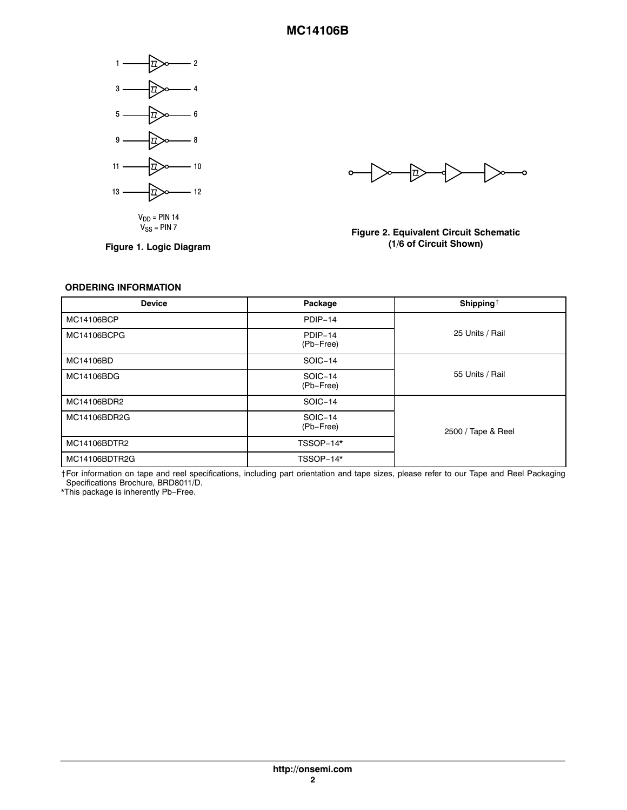<span id="page-1-0"></span>

 $V_{DD}$  = PIN 14<br> $V_{SS}$  = PIN 7

**Figure 1. Logic Diagram**

 $\Rightarrow$ ∣≫—∘  $\sim$ ⊦≫−

## **Figure 2. Equivalent Circuit Schematic (1/6 of Circuit Shown)**

### **ORDERING INFORMATION**

| <b>Device</b> | Package              | Shipping <sup>+</sup> |
|---------------|----------------------|-----------------------|
| MC14106BCP    | PDIP-14              |                       |
| MC14106BCPG   | PDIP-14<br>(Pb-Free) | 25 Units / Rail       |
| MC14106BD     | SOIC-14              |                       |
| MC14106BDG    | SOIC-14<br>(Pb-Free) | 55 Units / Rail       |
| MC14106BDR2   | SOIC-14              |                       |
| MC14106BDR2G  | SOIC-14<br>(Pb-Free) | 2500 / Tape & Reel    |
| MC14106BDTR2  | TSSOP-14*            |                       |
| MC14106BDTR2G | TSSOP-14*            |                       |

†For information on tape and reel specifications, including part orientation and tape sizes, please refer to our Tape and Reel Packaging Specifications Brochure, BRD8011/D.

\*This package is inherently Pb−Free.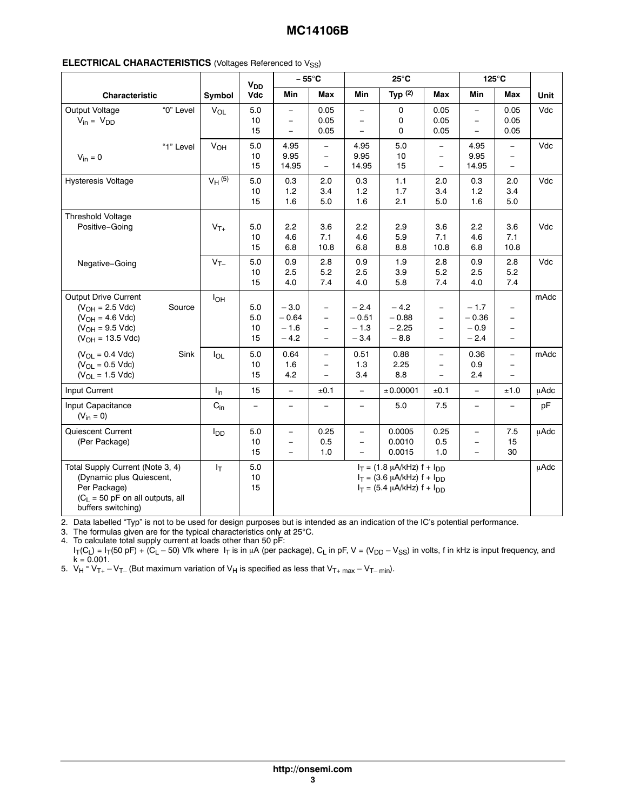| Characteristic                                                                                                                                                                                |                |                        | <b>V<sub>DD</sub></b>                         |                                                             | $-55^{\circ}$ C                                                                                       |                                                                  | $25^{\circ}$ C                                                                                                 |                                                                                                                                                                                  | $125^{\circ}$ C                                             |                                                                                                                             |              |
|-----------------------------------------------------------------------------------------------------------------------------------------------------------------------------------------------|----------------|------------------------|-----------------------------------------------|-------------------------------------------------------------|-------------------------------------------------------------------------------------------------------|------------------------------------------------------------------|----------------------------------------------------------------------------------------------------------------|----------------------------------------------------------------------------------------------------------------------------------------------------------------------------------|-------------------------------------------------------------|-----------------------------------------------------------------------------------------------------------------------------|--------------|
|                                                                                                                                                                                               |                | Symbol                 | Vdc                                           | Min                                                         | Max                                                                                                   | Min                                                              | Typ $(2)$                                                                                                      | Max                                                                                                                                                                              | Min                                                         | Max                                                                                                                         | Unit         |
| Output Voltage<br>$V_{in} = V_{DD}$                                                                                                                                                           | "0" Level      | $V_{OL}$               | 5.0<br>10<br>15                               | $\equiv$<br>$\overline{\phantom{m}}$<br>$\equiv$            | 0.05<br>0.05<br>0.05                                                                                  | $\overline{\phantom{0}}$<br>$\equiv$<br>$\overline{\phantom{0}}$ | 0<br>0<br>0                                                                                                    | 0.05<br>0.05<br>0.05                                                                                                                                                             | $\equiv$<br>$\overline{\phantom{m}}$<br>$\equiv$            | 0.05<br>0.05<br>0.05                                                                                                        | Vdc          |
| $V_{in} = 0$                                                                                                                                                                                  | "1" Level      | <b>V<sub>OH</sub></b>  | 5.0<br>10<br>15                               | 4.95<br>9.95<br>14.95                                       | $\overline{\phantom{0}}$<br>$\equiv$<br>$\equiv$                                                      | 4.95<br>9.95<br>14.95                                            | 5.0<br>10<br>15                                                                                                | $\overline{\phantom{a}}$<br>$\equiv$<br>$\equiv$                                                                                                                                 | 4.95<br>9.95<br>14.95                                       | $\overline{\phantom{0}}$<br>$\overline{\phantom{0}}$<br>$\equiv$                                                            | Vdc          |
| <b>Hysteresis Voltage</b>                                                                                                                                                                     |                | $V_H$ (5)              | 5.0<br>10<br>15                               | 0.3<br>1.2<br>1.6                                           | 2.0<br>3.4<br>5.0                                                                                     | 0.3<br>1.2<br>1.6                                                | 1.1<br>1.7<br>2.1                                                                                              | 2.0<br>3.4<br>5.0                                                                                                                                                                | 0.3<br>1.2<br>1.6                                           | 2.0<br>3.4<br>5.0                                                                                                           | Vdc          |
| Threshold Voltage<br>Positive-Going                                                                                                                                                           |                | $V_{T+}$               | 5.0<br>10<br>15                               | 2.2<br>4.6<br>6.8                                           | 3.6<br>7.1<br>10.8                                                                                    | 2.2<br>4.6<br>6.8                                                | 2.9<br>5.9<br>8.8                                                                                              | 3.6<br>7.1<br>10.8                                                                                                                                                               | 2.2<br>4.6<br>6.8                                           | 3.6<br>7.1<br>10.8                                                                                                          | Vdc          |
| Negative-Going                                                                                                                                                                                |                | $V_{T-}$               | 5.0<br>10<br>15                               | 0.9<br>2.5<br>4.0                                           | 2.8<br>5.2<br>7.4                                                                                     | 0.9<br>2.5<br>4.0                                                | 1.9<br>3.9<br>5.8                                                                                              | 2.8<br>5.2<br>7.4                                                                                                                                                                | 0.9<br>2.5<br>4.0                                           | 2.8<br>5.2<br>7.4                                                                                                           | Vdc          |
| Output Drive Current<br>$(V_{OH} = 2.5$ Vdc)<br>$(V_{OH} = 4.6$ Vdc)<br>$(V_{OH} = 9.5$ Vdc)<br>$(V_{OH} = 13.5$ Vdc)<br>$(V_{OL} = 0.4$ Vdc)<br>$(V_{OL} = 0.5$ Vdc)<br>$(V_{OL} = 1.5$ Vdc) | Source<br>Sink | $I_{OH}$<br>$I_{OL}$   | 5.0<br>$5.0\,$<br>10<br>15<br>5.0<br>10<br>15 | $-3.0$<br>$-0.64$<br>$-1.6$<br>$-4.2$<br>0.64<br>1.6<br>4.2 | $\equiv$<br>$\equiv$<br>$\overline{\phantom{0}}$<br>$\frac{1}{2}$<br>$\equiv$<br>$\equiv$<br>$\equiv$ | $-2.4$<br>$-0.51$<br>$-1.3$<br>$-3.4$<br>0.51<br>1.3<br>3.4      | $-4.2$<br>$-0.88$<br>$-2.25$<br>$-8.8$<br>0.88<br>2.25<br>8.8                                                  | $\overline{\phantom{a}}$<br>$\overline{\phantom{a}}$<br>$\overline{\phantom{a}}$<br>$\equiv$<br>$\overline{\phantom{a}}$<br>$\overline{\phantom{a}}$<br>$\overline{\phantom{0}}$ | $-1.7$<br>$-0.36$<br>$-0.9$<br>$-2.4$<br>0.36<br>0.9<br>2.4 | $\qquad \qquad -$<br>$\equiv$<br>$\qquad \qquad -$<br>$\equiv$<br>$\equiv$<br>$\overline{\phantom{0}}$<br>$\qquad \qquad -$ | mAdc<br>mAdc |
| Input Current                                                                                                                                                                                 |                | $I_{in}$               | 15                                            | $\equiv$                                                    | ±0.1                                                                                                  | $\equiv$                                                         | ± 0.00001                                                                                                      | ±0.1                                                                                                                                                                             | $\equiv$                                                    | ±1.0                                                                                                                        | μAdc         |
| Input Capacitance<br>$(V_{in} = 0)$                                                                                                                                                           |                | $C_{in}$               | $\equiv$                                      | $\overline{\phantom{0}}$                                    |                                                                                                       | $\overline{\phantom{0}}$                                         | 5.0                                                                                                            | 7.5                                                                                                                                                                              | $\overline{\phantom{m}}$                                    |                                                                                                                             | pF           |
| Quiescent Current<br>(Per Package)                                                                                                                                                            |                | <b>I</b> <sub>DD</sub> | 5.0<br>10<br>15                               | $\equiv$<br>$\overline{\phantom{a}}$<br>$\equiv$            | 0.25<br>0.5<br>1.0                                                                                    | $\equiv$<br>$\equiv$<br>$\equiv$                                 | 0.0005<br>0.0010<br>0.0015                                                                                     | 0.25<br>0.5<br>1.0                                                                                                                                                               | $\equiv$<br>$\overline{\phantom{m}}$<br>$\equiv$            | 7.5<br>15<br>30                                                                                                             | μAdc         |
| Total Supply Current (Note 3, 4)<br>(Dynamic plus Quiescent,<br>Per Package)<br>$(C_L = 50$ pF on all outputs, all<br>buffers switching)                                                      |                | $I_T$                  | 5.0<br>10<br>15                               |                                                             |                                                                                                       |                                                                  | $I_T = (1.8 \mu A/kHz) f + I_{DD}$<br>$I_T = (3.6 \mu A/kHz) f + I_{DD}$<br>$I_T = (5.4 \mu A/kHz) f + I_{DD}$ |                                                                                                                                                                                  |                                                             |                                                                                                                             | uAdc         |

2. Data labelled "Typ" is not to be used for design purposes but is intended as an indication of the IC's potential performance.

3. The formulas given are for the typical characteristics only at 25°C.

4. To calculate total supply current at loads other than 50 pF: I $_{\rm T}$ (C<sub>L</sub>) = I $_{\rm T}$ (50 pF) + (C<sub>L</sub> – 50) Vfk where I $_{\rm T}$  is in µA (per package), C<sub>L</sub> in pF, V = (V<sub>DD</sub> – V<sub>SS</sub>) in volts, f in kHz is input frequency, and  $k = 0.001$ .

5.  $V_H = V_{T+} - V_{T-}$  (But maximum variation of  $V_H$  is specified as less that  $V_{T+ max} - V_{T- min}$ ).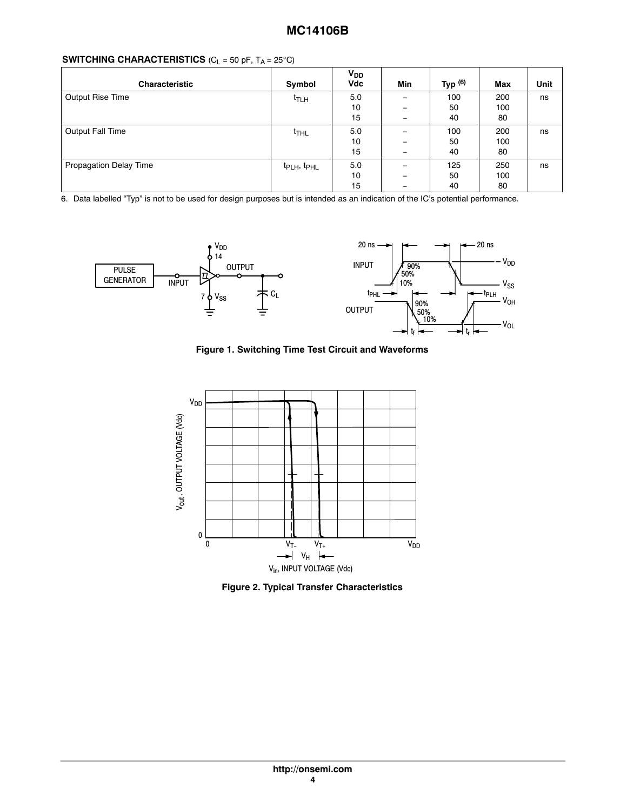| <b>Characteristic</b>  | Symbol                              | V <sub>DD</sub><br>Vdc | Min                      | Typ $(6)$ | <b>Max</b> | Unit |
|------------------------|-------------------------------------|------------------------|--------------------------|-----------|------------|------|
| Output Rise Time       | t <sub>TLH</sub>                    | 5.0                    |                          | 100       | 200        | ns   |
|                        |                                     | 10                     |                          | 50        | 100        |      |
|                        |                                     | 15                     | $\overline{\phantom{m}}$ | 40        | 80         |      |
| Output Fall Time       | $t$ <sub>THL</sub>                  | 5.0                    |                          | 100       | 200        | ns   |
|                        |                                     | 10                     | -                        | 50        | 100        |      |
|                        |                                     | 15                     |                          | 40        | 80         |      |
| Propagation Delay Time | t <sub>PLH</sub> , t <sub>PHL</sub> | 5.0                    |                          | 125       | 250        | ns   |
|                        |                                     | 10                     |                          | 50        | 100        |      |
|                        |                                     | 15                     | -                        | 40        | 80         |      |

6. Data labelled "Typ" is not to be used for design purposes but is intended as an indication of the IC's potential performance.



**Figure 1. Switching Time Test Circuit and Waveforms**



**Figure 2. Typical Transfer Characteristics**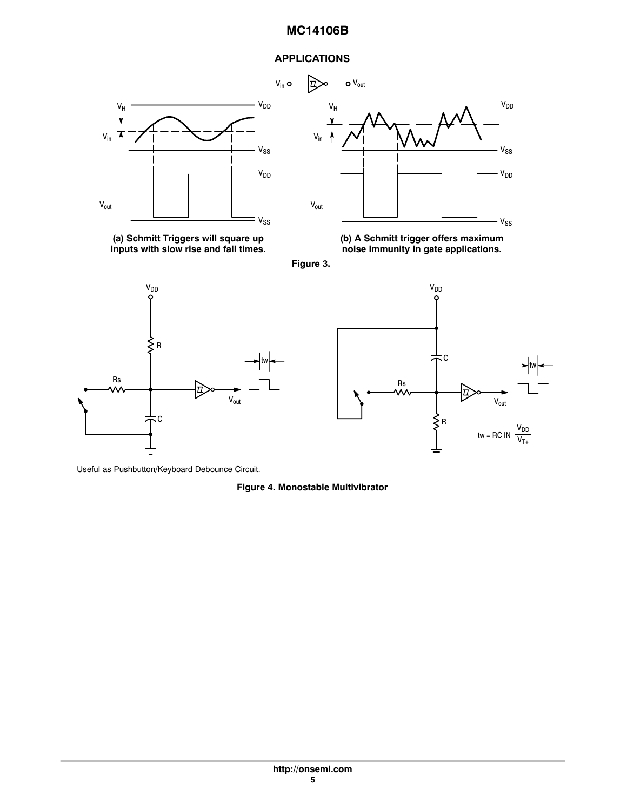## **APPLICATIONS**





**(a) Schmitt Triggers will square up inputs with slow rise and fall times.**









Useful as Pushbutton/Keyboard Debounce Circuit.

## **Figure 4. Monostable Multivibrator**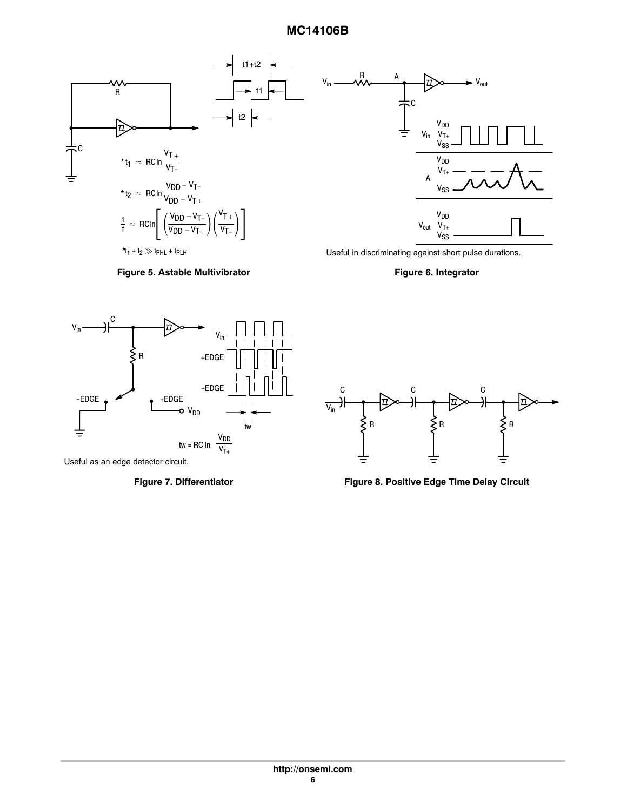



Useful in discriminating against short pulse durations.

**Figure 6. Integrator**



Useful as an edge detector circuit.



Figure 7. Differentiator **Figure 8. Positive Edge Time Delay Circuit**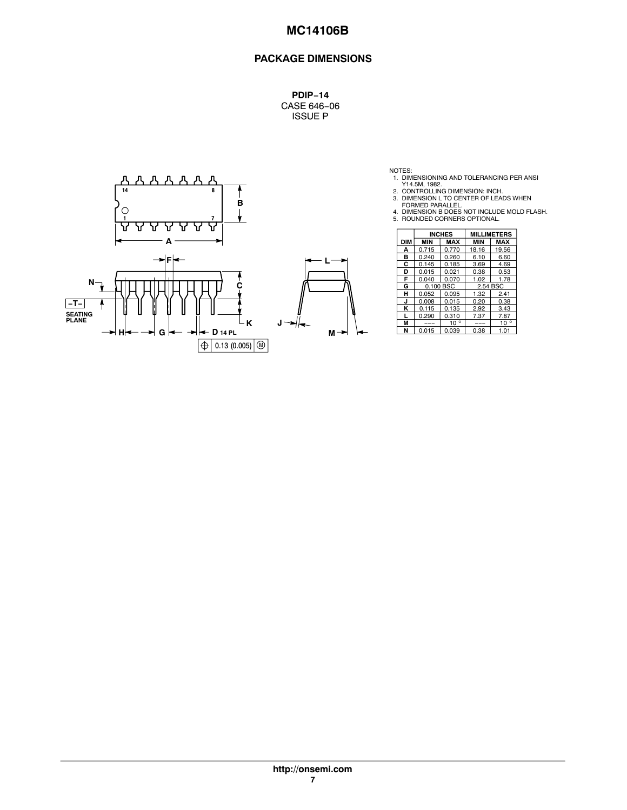## **PACKAGE DIMENSIONS**

**PDIP−14** CASE 646−06 ISSUE P



NOTES:<br>
1. DIMENSIONING AND TOLERANCING PER ANSI<br>
2. CONTROLLING DIMENSION: INCH.<br>
3. DIMENSION L TO CENTER OF LEADS WHEN<br>
FORMED PARALLEL.<br>
4. DIMENSION B DOES NOT INCLUDE MOLD FLASH.<br>
5. ROUNDED CORNERS OPTIONAL.

|     |            |            | <b>INCHES</b> |            | <b>MILLIMETERS</b> |
|-----|------------|------------|---------------|------------|--------------------|
|     | <b>DIM</b> | <b>MIN</b> | <b>MAX</b>    | <b>MIN</b> | <b>MAX</b>         |
|     | А          | 0.715      | 0.770         | 18.16      | 19.56              |
|     | в          | 0.240      | 0.260         | 6.10       | 6.60               |
|     | С          | 0.145      | 0.185         | 3.69       | 4.69               |
|     | D          | 0.015      | 0.021         | 0.38       | 0.53               |
|     | F          | 0.040      | 0.070         | 1.02       | 1.78               |
|     | G          | 0.100 BSC  |               | 2.54 BSC   |                    |
|     | н          | 0.052      | 0.095         | 1.32       | 2.41               |
|     | J          | 0.008      | 0.015         | 0.20       | 0.38               |
|     | κ          | 0.115      | 0.135         | 2.92       | 3.43               |
|     |            | 0.290      | 0.310         | 7.37       | 7.87               |
|     | M          | ---        | $10^{\circ}$  | ---        | $10^{\circ}$       |
| м – | N          | 0.015      | 0.039         | 0.38       | 1.01               |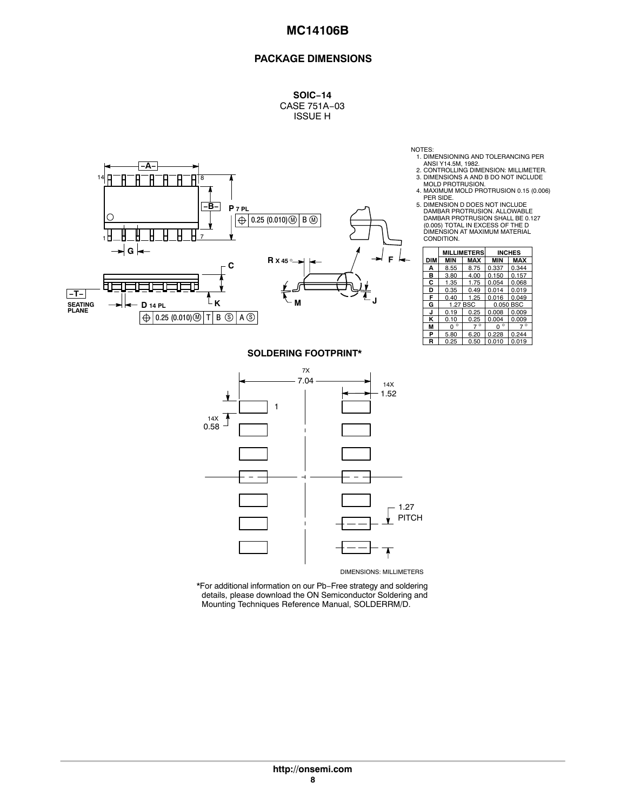## **PACKAGE DIMENSIONS**

**SOIC−14** CASE 751A−03 ISSUE H



NOTES:

- 
- 1. DIMENSIONING AND TOLERANCING PER<br>ANSI Y14.5M, 1982.<br>2. CONTROLLING DIMENSION: MILLIMETER.<br>3. DIMENSIONS A AND B DO NOT INCLUDE<br>MOLD PROTRUSION.
- 4. MAXIMUM MOLD PROTRUSION 0.15 (0.006) PER SIDE.
- 5. DIMENSION D DOES NOT INCLUDE DAMBAR PROTRUSION. ALLOWABLE DAMBAR PROTRUSION SHALL BE 0.127 (0.005) TOTAL IN EXCESS OF THE D DIMENSION AT MAXIMUM MATERIAL CONDITION.

|            |                     | <b>MILLIMETERS</b> |              | <b>INCHES</b> |  |
|------------|---------------------|--------------------|--------------|---------------|--|
| <b>DIM</b> | <b>MIN</b>          | <b>MAX</b>         | <b>MIN</b>   | <b>MAX</b>    |  |
| A          | 8.55                | 8.75               | 0.337        | 0.344         |  |
| в          | 3.80                | 4.00               | 0.150        | 0.157         |  |
| С          | 1.35                | 1.75               | 0.054        | 0.068         |  |
| D          | 0.35                | 0.49               | 0.014        | 0.019         |  |
| F          | 0.40                | 1.25               | 0.016        | 0.049         |  |
| G          |                     | 1.27 BSC           |              | 0.050 BSC     |  |
| J          | 0.19                | 0.25               | 0.008        | 0.009         |  |
| ĸ          | 0.10                | 0.25               | 0.004        | 0.009         |  |
| М          | $\circ$<br>$\Omega$ | $7^\circ$          | $\circ$<br>O | $7^\circ$     |  |
| P          | 5.80                | 6.20               | 0.228        | 0.244         |  |
| R          | 0.25                | 0.50               | 0.010        | 0.019         |  |

### **SOLDERING FOOTPRINT\***



\*For additional information on our Pb−Free strategy and soldering details, please download the ON Semiconductor Soldering and Mounting Techniques Reference Manual, SOLDERRM/D.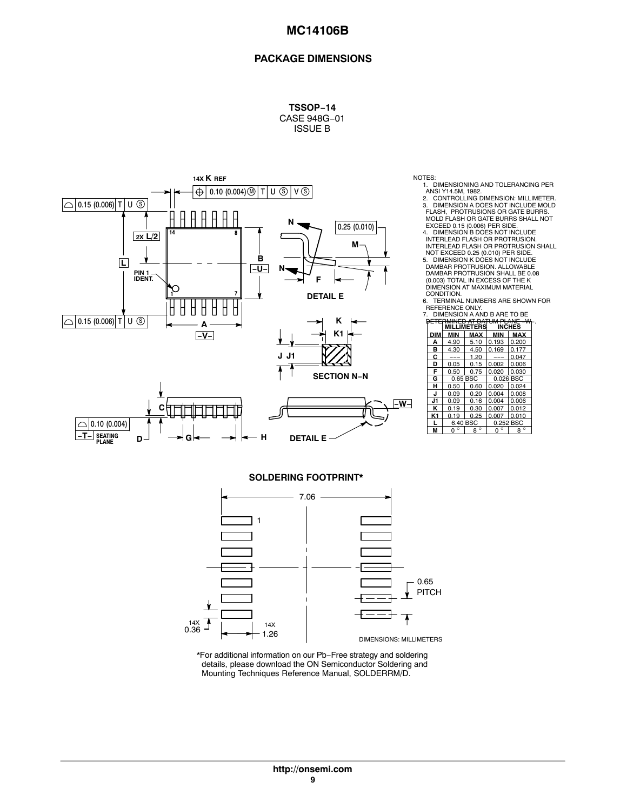### **PACKAGE DIMENSIONS**

**TSSOP−14** CASE 948G−01 ISSUE B



- NOTES:<br>1. DIMENSIONING AND TOLERANCING PER<br>ANSI Y14.5M, 1982.<br>2. CONTROLLING DIMENSION: MILLIMETER.<br>3. DIMENSION A DOES NOT INCLUDE MOLD<br>FLASH, PROTRUSIONS OR GATE BURRS<br>MOLD FLASH OR GATE BURRS SHALL NOT
	- EXCEED 0.15 (0.006) PER SIDE. 4. DIMENSION B DOES NOT INCLUDE INTERLEAD FLASH OR PROTRUSION. INTERLEAD FLASH OR PROTRUSION SHALL
	- NOT EXCEED 0.25 (0.010) PER SIDE. 5. DIMENSION K DOES NOT INCLUDE DAMBAR PROTRUSION. ALLOWABLE DAMBAR PROTRUSION SHALL BE 0.08 (0.003) TOTAL IN EXCESS OF THE K DIMENSION AT MAXIMUM MATERIAL

CONDITION. 6. TERMINAL NUMBERS ARE SHOWN FOR REFERENCE ONLY.

| DIMENSION A AND B ARE TO BE<br>$\mathbf{7}$ |          |             |                                                        |            |  |  |  |
|---------------------------------------------|----------|-------------|--------------------------------------------------------|------------|--|--|--|
|                                             |          | MILLIMETERS | <del>:RMINED AT DATUM PLANE -Wi</del><br><b>INCHES</b> |            |  |  |  |
| DIM                                         | MIN      | <b>MAX</b>  | <b>MIN</b>                                             | <b>MAX</b> |  |  |  |
| А                                           | 4.90     | 5.10        | 0.193                                                  | 0.200      |  |  |  |
| в                                           | 4.30     | 4.50        | 0.169                                                  | 0.177      |  |  |  |
| С                                           |          | 1.20        |                                                        | 0.047      |  |  |  |
| D                                           | 0.05     | 0.15        | 0.002                                                  | 0.006      |  |  |  |
| F                                           | 0.50     | 0.75        | 0.020                                                  | 0.030      |  |  |  |
| G                                           | 0.65 BSC |             | 0.026 BSC                                              |            |  |  |  |
| н                                           | 0.50     | 0.60        | 0.020                                                  | 0.024      |  |  |  |
| J                                           | 0.09     | 0.20        | 0.004                                                  | 0.008      |  |  |  |
| J1                                          | 0.09     | 0.16        | 0.004                                                  | 0.006      |  |  |  |
| ĸ                                           | 0.19     | 0.30        | 0.007                                                  | 0.012      |  |  |  |
| K1                                          | 0.19     | 0.25        | 0.007                                                  | 0.010      |  |  |  |
|                                             | 6.40 BSC |             | 0.252 BSC                                              |            |  |  |  |
| м                                           | ٥<br>n   | $8^\circ$   | $\circ$<br>0                                           | $8^\circ$  |  |  |  |

### **SOLDERING FOOTPRINT\***



\*For additional information on our Pb−Free strategy and soldering details, please download the ON Semiconductor Soldering and Mounting Techniques Reference Manual, SOLDERRM/D.